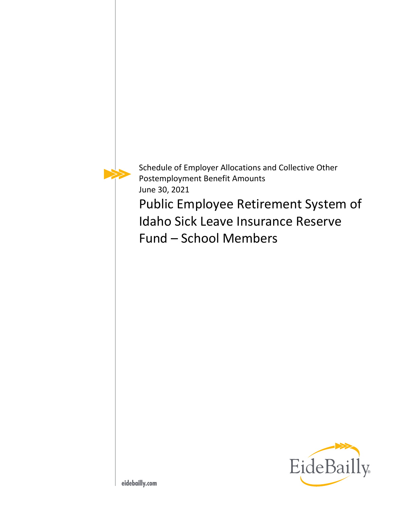

Schedule of Employer Allocations and Collective Other Postemployment Benefit Amounts June 30, 2021

Public Employee Retirement System of Idaho Sick Leave Insurance Reserve Fund – School Members

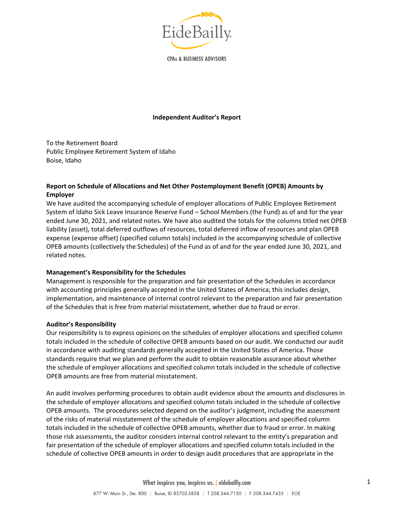

**CPAs & BUSINESS ADVISORS** 

#### **Independent Auditor's Report**

To the Retirement Board Public Employee Retirement System of Idaho Boise, Idaho

## **Report on Schedule of Allocations and Net Other Postemployment Benefit (OPEB) Amounts by Employer**

We have audited the accompanying schedule of employer allocations of Public Employee Retirement System of Idaho Sick Leave Insurance Reserve Fund – School Members (the Fund) as of and for the year ended June 30, 2021, and related notes. We have also audited the totals for the columns titled net OPEB liability (asset), total deferred outflows of resources, total deferred inflow of resources and plan OPEB expense (expense offset) (specified column totals) included in the accompanying schedule of collective OPEB amounts (collectively the Schedules) of the Fund as of and for the year ended June 30, 2021, and related notes.

### **Management's Responsibility for the Schedules**

Management is responsible for the preparation and fair presentation of the Schedules in accordance with accounting principles generally accepted in the United States of America; this includes design, implementation, and maintenance of internal control relevant to the preparation and fair presentation of the Schedules that is free from material misstatement, whether due to fraud or error.

#### **Auditor's Responsibility**

Our responsibility is to express opinions on the schedules of employer allocations and specified column totals included in the schedule of collective OPEB amounts based on our audit. We conducted our audit in accordance with auditing standards generally accepted in the United States of America. Those standards require that we plan and perform the audit to obtain reasonable assurance about whether the schedule of employer allocations and specified column totals included in the schedule of collective OPEB amounts are free from material misstatement.

An audit involves performing procedures to obtain audit evidence about the amounts and disclosures in the schedule of employer allocations and specified column totals included in the schedule of collective OPEB amounts. The procedures selected depend on the auditor's judgment, including the assessment of the risks of material misstatement of the schedule of employer allocations and specified column totals included in the schedule of collective OPEB amounts, whether due to fraud or error. In making those risk assessments, the auditor considers internal control relevant to the entity's preparation and fair presentation of the schedule of employer allocations and specified column totals included in the schedule of collective OPEB amounts in order to design audit procedures that are appropriate in the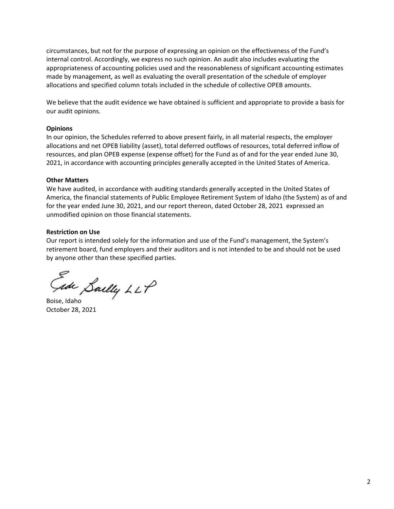circumstances, but not for the purpose of expressing an opinion on the effectiveness of the Fund's internal control. Accordingly, we express no such opinion. An audit also includes evaluating the appropriateness of accounting policies used and the reasonableness of significant accounting estimates made by management, as well as evaluating the overall presentation of the schedule of employer allocations and specified column totals included in the schedule of collective OPEB amounts.

We believe that the audit evidence we have obtained is sufficient and appropriate to provide a basis for our audit opinions.

### **Opinions**

In our opinion, the Schedules referred to above present fairly, in all material respects, the employer allocations and net OPEB liability (asset), total deferred outflows of resources, total deferred inflow of resources, and plan OPEB expense (expense offset) for the Fund as of and for the year ended June 30, 2021, in accordance with accounting principles generally accepted in the United States of America.

### **Other Matters**

We have audited, in accordance with auditing standards generally accepted in the United States of America, the financial statements of Public Employee Retirement System of Idaho (the System) as of and for the year ended June 30, 2021, and our report thereon, dated October 28, 2021 expressed an unmodified opinion on those financial statements.

### **Restriction on Use**

Our report is intended solely for the information and use of the Fund's management, the System's retirement board, fund employers and their auditors and is not intended to be and should not be used by anyone other than these specified parties.

Gade Sailly LLP

October 28, 2021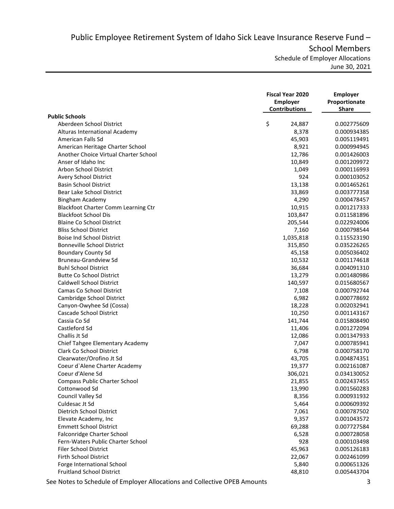Public Employee Retirement System of Idaho Sick Leave Insurance Reserve Fund – School Members Schedule of Employer Allocations

June 30, 2021

|                                       | <b>Fiscal Year 2020</b><br><b>Employer</b><br><b>Contributions</b> | <b>Employer</b><br>Proportionate<br><b>Share</b> |
|---------------------------------------|--------------------------------------------------------------------|--------------------------------------------------|
| <b>Public Schools</b>                 |                                                                    |                                                  |
| Aberdeen School District              | \$<br>24,887                                                       | 0.002775609                                      |
| Alturas International Academy         | 8,378                                                              | 0.000934385                                      |
| American Falls Sd                     | 45,903                                                             | 0.005119491                                      |
| American Heritage Charter School      | 8,921                                                              | 0.000994945                                      |
| Another Choice Virtual Charter School | 12,786                                                             | 0.001426003                                      |
| Anser of Idaho Inc                    | 10,849                                                             | 0.001209972                                      |
| Arbon School District                 | 1,049                                                              | 0.000116993                                      |
| Avery School District                 | 924                                                                | 0.000103052                                      |
| <b>Basin School District</b>          | 13,138                                                             | 0.001465261                                      |
| Bear Lake School District             | 33,869                                                             | 0.003777358                                      |
| Bingham Academy                       | 4,290                                                              | 0.000478457                                      |
| Blackfoot Charter Comm Learning Ctr   | 10,915                                                             | 0.001217333                                      |
| <b>Blackfoot School Dis</b>           | 103,847                                                            | 0.011581896                                      |
| <b>Blaine Co School District</b>      | 205,544                                                            | 0.022924006                                      |
| <b>Bliss School District</b>          | 7,160                                                              | 0.000798544                                      |
| <b>Boise Ind School District</b>      | 1,035,818                                                          | 0.115523190                                      |
| <b>Bonneville School District</b>     | 315,850                                                            | 0.035226265                                      |
| <b>Boundary County Sd</b>             | 45,158                                                             | 0.005036402                                      |
| Bruneau-Grandview Sd                  | 10,532                                                             | 0.001174618                                      |
| <b>Buhl School District</b>           | 36,684                                                             | 0.004091310                                      |
| <b>Butte Co School District</b>       | 13,279                                                             | 0.001480986                                      |
| <b>Caldwell School District</b>       | 140,597                                                            | 0.015680567                                      |
| Camas Co School District              | 7,108                                                              | 0.000792744                                      |
| Cambridge School District             | 6,982                                                              | 0.000778692                                      |
| Canyon-Owyhee Sd (Cossa)              | 18,228                                                             | 0.002032941                                      |
| Cascade School District               | 10,250                                                             | 0.001143167                                      |
| Cassia Co Sd                          | 141,744                                                            | 0.015808490                                      |
| Castleford Sd                         | 11,406                                                             | 0.001272094                                      |
| Challis Jt Sd                         | 12,086                                                             | 0.001347933                                      |
| Chief Tahgee Elementary Academy       | 7,047                                                              | 0.000785941                                      |
| <b>Clark Co School District</b>       | 6,798                                                              | 0.000758170                                      |
| Clearwater/Orofino Jt Sd              | 43,705                                                             | 0.004874351                                      |
| Coeur d'Alene Charter Academy         | 19,377                                                             | 0.002161087                                      |
| Coeur d'Alene Sd                      | 306,021                                                            | 0.034130052                                      |
| <b>Compass Public Charter School</b>  | 21,855                                                             | 0.002437455                                      |
| Cottonwood Sd                         | 13,990                                                             | 0.001560283                                      |
| Council Valley Sd                     | 8,356                                                              | 0.000931932                                      |
| Culdesac Jt Sd                        | 5,464                                                              | 0.000609392                                      |
| <b>Dietrich School District</b>       | 7,061                                                              | 0.000787502                                      |
| Elevate Academy, Inc                  | 9,357                                                              | 0.001043572                                      |
| <b>Emmett School District</b>         | 69,288                                                             | 0.007727584                                      |
| Falconridge Charter School            | 6,528                                                              | 0.000728058                                      |
| Fern-Waters Public Charter School     | 928                                                                | 0.000103498                                      |
| Filer School District                 | 45,963                                                             | 0.005126183                                      |
| Firth School District                 | 22,067                                                             | 0.002461099                                      |
| Forge International School            | 5,840                                                              | 0.000651326                                      |
| <b>Fruitland School District</b>      | 48,810                                                             | 0.005443704                                      |

See Notes to Schedule of Employer Allocations and Collective OPEB Amounts 3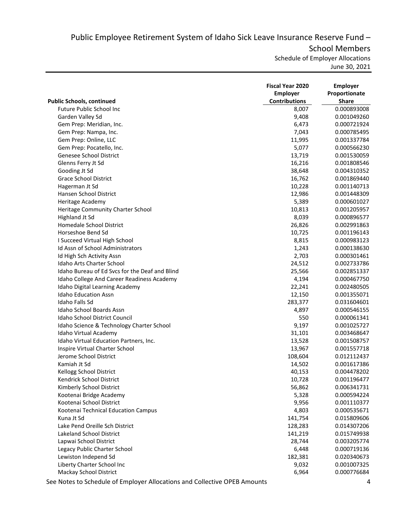Public Employee Retirement System of Idaho Sick Leave Insurance Reserve Fund – School Members

Schedule of Employer Allocations

June 30, 2021

|                                                | <b>Fiscal Year 2020</b><br><b>Employer</b><br><b>Contributions</b> | <b>Employer</b><br>Proportionate |
|------------------------------------------------|--------------------------------------------------------------------|----------------------------------|
| <b>Public Schools, continued</b>               |                                                                    | <b>Share</b>                     |
| Future Public School Inc                       | 8,007                                                              | 0.000893008                      |
| Garden Valley Sd                               | 9,408                                                              | 0.001049260                      |
| Gem Prep: Meridian, Inc.                       | 6,473                                                              | 0.000721924                      |
| Gem Prep: Nampa, Inc.                          | 7,043                                                              | 0.000785495                      |
| Gem Prep: Online, LLC                          | 11,995                                                             | 0.001337784                      |
| Gem Prep: Pocatello, Inc.                      | 5,077                                                              | 0.000566230                      |
| Genesee School District                        | 13,719                                                             | 0.001530059                      |
| Glenns Ferry Jt Sd                             | 16,216                                                             | 0.001808546                      |
| Gooding Jt Sd                                  | 38,648                                                             | 0.004310352                      |
| <b>Grace School District</b>                   | 16,762                                                             | 0.001869440                      |
| Hagerman Jt Sd                                 | 10,228                                                             | 0.001140713                      |
| Hansen School District                         | 12,986                                                             | 0.001448309                      |
| Heritage Academy                               | 5,389                                                              | 0.000601027                      |
| Heritage Community Charter School              | 10,813                                                             | 0.001205957                      |
| Highland Jt Sd                                 | 8,039                                                              | 0.000896577                      |
| Homedale School District                       | 26,826                                                             | 0.002991863                      |
| Horseshoe Bend Sd                              | 10,725                                                             | 0.001196143                      |
| I Succeed Virtual High School                  | 8,815                                                              | 0.000983123                      |
| Id Assn of School Administrators               | 1,243                                                              | 0.000138630                      |
| Id High Sch Activity Assn                      | 2,703                                                              | 0.000301461                      |
| <b>Idaho Arts Charter School</b>               | 24,512                                                             | 0.002733786                      |
| Idaho Bureau of Ed Svcs for the Deaf and Blind | 25,566                                                             | 0.002851337                      |
| Idaho College And Career Readiness Academy     | 4,194                                                              | 0.000467750                      |
| Idaho Digital Learning Academy                 | 22,241                                                             | 0.002480505                      |
| <b>Idaho Education Assn</b>                    | 12,150                                                             | 0.001355071                      |
| <b>Idaho Falls Sd</b>                          | 283,377                                                            | 0.031604601                      |
| Idaho School Boards Assn                       | 4,897                                                              | 0.000546155                      |
| Idaho School District Council                  | 550                                                                | 0.000061341                      |
| Idaho Science & Technology Charter School      | 9,197                                                              | 0.001025727                      |
| Idaho Virtual Academy                          | 31,101                                                             | 0.003468647                      |
| Idaho Virtual Education Partners, Inc.         | 13,528                                                             | 0.001508757                      |
| Inspire Virtual Charter School                 | 13,967                                                             | 0.001557718                      |
| Jerome School District                         | 108,604                                                            | 0.012112437                      |
| Kamiah Jt Sd                                   | 14,502                                                             | 0.001617386                      |
| Kellogg School District                        | 40,153                                                             | 0.004478202                      |
| Kendrick School District                       | 10,728                                                             | 0.001196477                      |
| Kimberly School District                       | 56,862                                                             | 0.006341731                      |
| Kootenai Bridge Academy                        | 5,328                                                              | 0.000594224                      |
| Kootenai School District                       | 9,956                                                              | 0.001110377                      |
| Kootenai Technical Education Campus            | 4,803                                                              | 0.000535671                      |
| Kuna Jt Sd                                     | 141,754                                                            | 0.015809606                      |
| Lake Pend Oreille Sch District                 | 128,283                                                            | 0.014307206                      |
| <b>Lakeland School District</b>                | 141,219                                                            | 0.015749938                      |
| Lapwai School District                         | 28,744                                                             | 0.003205774                      |
| Legacy Public Charter School                   | 6,448                                                              | 0.000719136                      |
| Lewiston Independ Sd                           | 182,381                                                            | 0.020340673                      |
| Liberty Charter School Inc                     | 9,032                                                              | 0.001007325                      |
| Mackay School District                         | 6,964                                                              | 0.000776684                      |

See Notes to Schedule of Employer Allocations and Collective OPEB Amounts 4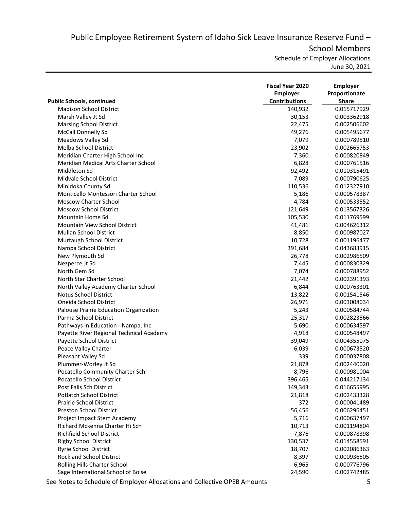Public Employee Retirement System of Idaho Sick Leave Insurance Reserve Fund – School Members

Schedule of Employer Allocations

June 30, 2021

|                                          | <b>Fiscal Year 2020</b><br><b>Employer</b> | <b>Employer</b><br>Proportionate |
|------------------------------------------|--------------------------------------------|----------------------------------|
| <b>Public Schools, continued</b>         | <b>Contributions</b>                       | <b>Share</b>                     |
| <b>Madison School District</b>           | 140,932                                    | 0.015717929                      |
| Marsh Valley Jt Sd                       | 30,153                                     | 0.003362918                      |
| <b>Marsing School District</b>           | 22,475                                     | 0.002506602                      |
| McCall Donnelly Sd                       | 49,276                                     | 0.005495677                      |
| Meadows Valley Sd                        | 7,079                                      | 0.000789510                      |
| Melba School District                    | 23,902                                     | 0.002665753                      |
| Meridian Charter High School Inc         | 7,360                                      | 0.000820849                      |
| Meridian Medical Arts Charter School     | 6,828                                      | 0.000761516                      |
| Middleton Sd                             | 92,492                                     | 0.010315491                      |
| Midvale School District                  | 7,089                                      | 0.000790625                      |
| Minidoka County Sd                       | 110,536                                    | 0.012327910                      |
| Monticello Montessori Charter School     | 5,186                                      | 0.000578387                      |
| <b>Moscow Charter School</b>             | 4,784                                      | 0.000533552                      |
| <b>Moscow School District</b>            | 121,649                                    | 0.013567326                      |
| Mountain Home Sd                         | 105,530                                    | 0.011769599                      |
| Mountain View School District            | 41,481                                     | 0.004626312                      |
| <b>Mullan School District</b>            | 8,850                                      | 0.000987027                      |
| Murtaugh School District                 | 10,728                                     | 0.001196477                      |
| Nampa School District                    | 391,684                                    | 0.043683915                      |
| New Plymouth Sd                          | 26,778                                     | 0.002986509                      |
| Nezperce Jt Sd                           | 7,445                                      | 0.000830329                      |
| North Gem Sd                             | 7,074                                      | 0.000788952                      |
| North Star Charter School                | 21,442                                     | 0.002391393                      |
| North Valley Academy Charter School      | 6,844                                      | 0.000763301                      |
| <b>Notus School District</b>             | 13,822                                     | 0.001541546                      |
| Oneida School District                   | 26,971                                     | 0.003008034                      |
| Palouse Prairie Education Organization   | 5,243                                      | 0.000584744                      |
| Parma School District                    | 25,317                                     | 0.002823566                      |
| Pathways In Education - Nampa, Inc.      | 5,690                                      | 0.000634597                      |
| Payette River Regional Technical Academy | 4,918                                      | 0.000548497                      |
| Payette School District                  | 39,049                                     | 0.004355075                      |
| Peace Valley Charter                     | 6,039                                      | 0.000673520                      |
| Pleasant Valley Sd                       | 339                                        | 0.000037808                      |
| Plummer-Worley Jt Sd                     | 21,878                                     | 0.002440020                      |
| Pocatello Community Charter Sch          | 8,796                                      | 0.000981004                      |
| Pocatello School District                | 396,465                                    | 0.044217134                      |
| Post Falls Sch District                  | 149,343                                    | 0.016655995                      |
| <b>Potlatch School District</b>          | 21,818                                     | 0.002433328                      |
| <b>Prairie School District</b>           | 372                                        | 0.000041489                      |
| <b>Preston School District</b>           | 56,456                                     | 0.006296451                      |
| Project Impact Stem Academy              | 5,716                                      | 0.000637497                      |
| Richard Mckenna Charter Hi Sch           | 10,713                                     | 0.001194804                      |
| Richfield School District                | 7,876                                      | 0.000878398                      |
| <b>Rigby School District</b>             | 130,537                                    | 0.014558591                      |
| Ryrie School District                    | 18,707                                     | 0.002086363                      |
| <b>Rockland School District</b>          | 8,397                                      | 0.000936505                      |
| Rolling Hills Charter School             | 6,965                                      | 0.000776796                      |
| Sage International School of Boise       | 24,590                                     | 0.002742485                      |
|                                          |                                            |                                  |

See Notes to Schedule of Employer Allocations and Collective OPEB Amounts 5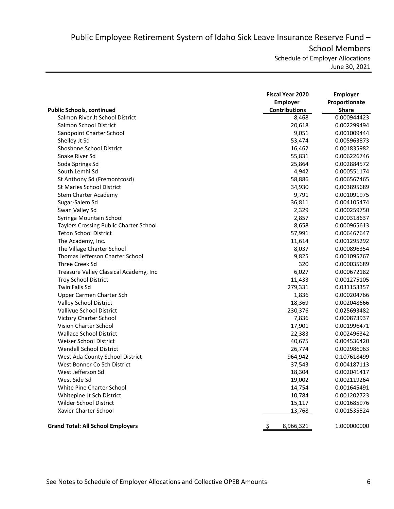Public Employee Retirement System of Idaho Sick Leave Insurance Reserve Fund – School Members Schedule of Employer Allocations

June 30, 2021

|                                               | <b>Fiscal Year 2020</b><br>Employer | <b>Employer</b><br>Proportionate |
|-----------------------------------------------|-------------------------------------|----------------------------------|
| <b>Public Schools, continued</b>              | <b>Contributions</b>                | <b>Share</b>                     |
| Salmon River Jt School District               | 8,468                               | 0.000944423                      |
| Salmon School District                        | 20,618                              | 0.002299494                      |
| Sandpoint Charter School                      | 9,051                               | 0.001009444                      |
| Shelley Jt Sd                                 | 53,474                              | 0.005963873                      |
| Shoshone School District                      | 16,462                              | 0.001835982                      |
| Snake River Sd                                | 55,831                              | 0.006226746                      |
| Soda Springs Sd                               | 25,864                              | 0.002884572                      |
| South Lemhi Sd                                | 4,942                               | 0.000551174                      |
| St Anthony Sd (Fremontcosd)                   | 58,886                              | 0.006567465                      |
| <b>St Maries School District</b>              | 34,930                              | 0.003895689                      |
| Stem Charter Academy                          | 9,791                               | 0.001091975                      |
| Sugar-Salem Sd                                | 36,811                              | 0.004105474                      |
| Swan Valley Sd                                | 2,329                               | 0.000259750                      |
| Syringa Mountain School                       | 2,857                               | 0.000318637                      |
| <b>Taylors Crossing Public Charter School</b> | 8,658                               | 0.000965613                      |
| Teton School District                         | 57,991                              | 0.006467647                      |
| The Academy, Inc.                             | 11,614                              | 0.001295292                      |
| The Village Charter School                    | 8,037                               | 0.000896354                      |
| Thomas Jefferson Charter School               | 9,825                               | 0.001095767                      |
| Three Creek Sd                                | 320                                 | 0.000035689                      |
| Treasure Valley Classical Academy, Inc        | 6,027                               | 0.000672182                      |
| <b>Troy School District</b>                   | 11,433                              | 0.001275105                      |
| <b>Twin Falls Sd</b>                          | 279,331                             | 0.031153357                      |
| Upper Carmen Charter Sch                      | 1,836                               | 0.000204766                      |
| Valley School District                        | 18,369                              | 0.002048666                      |
| Vallivue School District                      | 230,376                             | 0.025693482                      |
| Victory Charter School                        | 7,836                               | 0.000873937                      |
| Vision Charter School                         | 17,901                              | 0.001996471                      |
| <b>Wallace School District</b>                | 22,383                              | 0.002496342                      |
| Weiser School District                        | 40,675                              | 0.004536420                      |
| Wendell School District                       | 26,774                              | 0.002986063                      |
| West Ada County School District               | 964,942                             | 0.107618499                      |
| West Bonner Co Sch District                   | 37,543                              | 0.004187113                      |
| West Jefferson Sd                             | 18,304                              | 0.002041417                      |
| West Side Sd                                  | 19,002                              | 0.002119264                      |
| White Pine Charter School                     | 14,754                              | 0.001645491                      |
| Whitepine Jt Sch District                     | 10,784                              | 0.001202723                      |
| Wilder School District                        | 15,117                              | 0.001685976                      |
| Xavier Charter School                         | 13,768                              | 0.001535524                      |
| <b>Grand Total: All School Employers</b>      | 8,966,321                           | 1.000000000                      |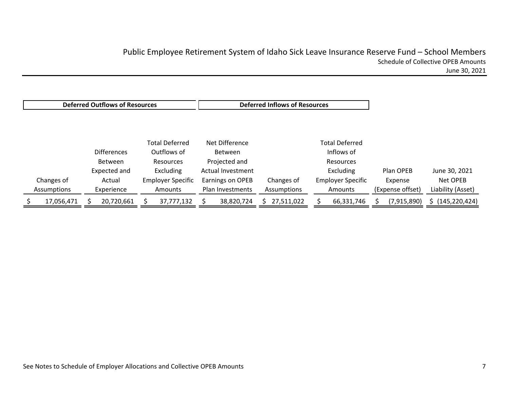Changes of Assumptions **Differences** BetweenExpected and Actual Experience Total DeferredOutflows of ResourcesExcluding Employer Specific Amounts Net DifferenceBetweenProjected and Actual Investment Earnings on OPEB Plan Investments Changes of Assumptions Total DeferredInflows of ResourcesExcluding Employer Specific Amounts Plan OPEBExpense (Expense offset) June 30, 2021 Net OPEBLiability (Asset) \$ 17,056,471 \$ 20,720,661 \$ 37,777,132 \$ 38,820,724 \$ 27,511,022 \$ 66,331,746 \$ (7,915,890) \$ (145,220,424) **Deferred Outflows of Resources Outflows of Resources Deferred Inflows of Resources**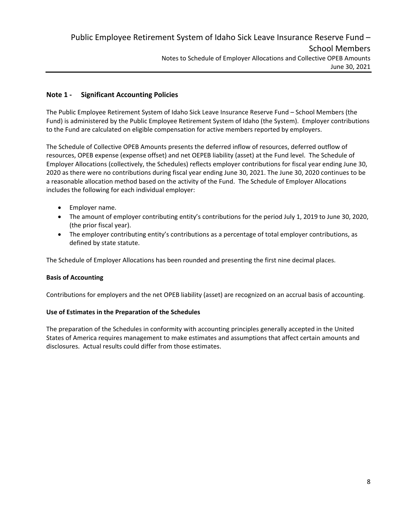# **Note 1 ‐ Significant Accounting Policies**

The Public Employee Retirement System of Idaho Sick Leave Insurance Reserve Fund – School Members (the Fund) is administered by the Public Employee Retirement System of Idaho (the System). Employer contributions to the Fund are calculated on eligible compensation for active members reported by employers.

The Schedule of Collective OPEB Amounts presents the deferred inflow of resources, deferred outflow of resources, OPEB expense (expense offset) and net OEPEB liability (asset) at the Fund level. The Schedule of Employer Allocations (collectively, the Schedules) reflects employer contributions for fiscal year ending June 30, 2020 as there were no contributions during fiscal year ending June 30, 2021. The June 30, 2020 continues to be a reasonable allocation method based on the activity of the Fund. The Schedule of Employer Allocations includes the following for each individual employer:

- Employer name.
- The amount of employer contributing entity's contributions for the period July 1, 2019 to June 30, 2020, (the prior fiscal year).
- The employer contributing entity's contributions as a percentage of total employer contributions, as defined by state statute.

The Schedule of Employer Allocations has been rounded and presenting the first nine decimal places.

### **Basis of Accounting**

Contributions for employers and the net OPEB liability (asset) are recognized on an accrual basis of accounting.

### **Use of Estimates in the Preparation of the Schedules**

The preparation of the Schedules in conformity with accounting principles generally accepted in the United States of America requires management to make estimates and assumptions that affect certain amounts and disclosures. Actual results could differ from those estimates.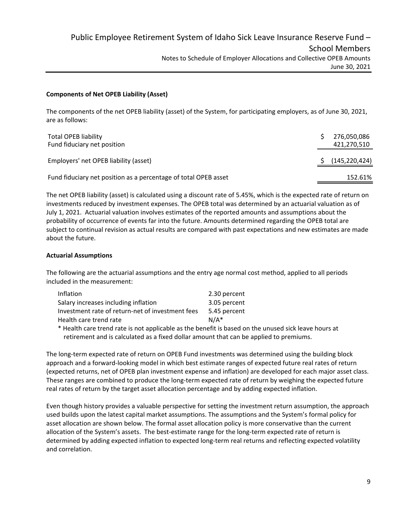### **Components of Net OPEB Liability (Asset)**

The components of the net OPEB liability (asset) of the System, for participating employers, as of June 30, 2021, are as follows:

| <b>Total OPEB liability</b><br>Fund fiduciary net position      | 276,050,086<br>421,270,510 |
|-----------------------------------------------------------------|----------------------------|
| Employers' net OPEB liability (asset)                           | (145, 220, 424)            |
| Fund fiduciary net position as a percentage of total OPEB asset | 152.61%                    |

The net OPEB liability (asset) is calculated using a discount rate of 5.45%, which is the expected rate of return on investments reduced by investment expenses. The OPEB total was determined by an actuarial valuation as of July 1, 2021. Actuarial valuation involves estimates of the reported amounts and assumptions about the probability of occurrence of events far into the future. Amounts determined regarding the OPEB total are subject to continual revision as actual results are compared with past expectations and new estimates are made about the future.

## **Actuarial Assumptions**

The following are the actuarial assumptions and the entry age normal cost method, applied to all periods included in the measurement:

| <b>Inflation</b>                                 | 2.30 percent |
|--------------------------------------------------|--------------|
| Salary increases including inflation             | 3.05 percent |
| Investment rate of return-net of investment fees | 5.45 percent |
| Health care trend rate                           | $N/A^*$      |
|                                                  |              |

\* Health care trend rate is not applicable as the benefit is based on the unused sick leave hours at retirement and is calculated as a fixed dollar amount that can be applied to premiums.

The long‐term expected rate of return on OPEB Fund investments was determined using the building block approach and a forward‐looking model in which best estimate ranges of expected future real rates of return (expected returns, net of OPEB plan investment expense and inflation) are developed for each major asset class. These ranges are combined to produce the long‐term expected rate of return by weighing the expected future real rates of return by the target asset allocation percentage and by adding expected inflation.

Even though history provides a valuable perspective for setting the investment return assumption, the approach used builds upon the latest capital market assumptions. The assumptions and the System's formal policy for asset allocation are shown below. The formal asset allocation policy is more conservative than the current allocation of the System's assets. The best-estimate range for the long-term expected rate of return is determined by adding expected inflation to expected long‐term real returns and reflecting expected volatility and correlation.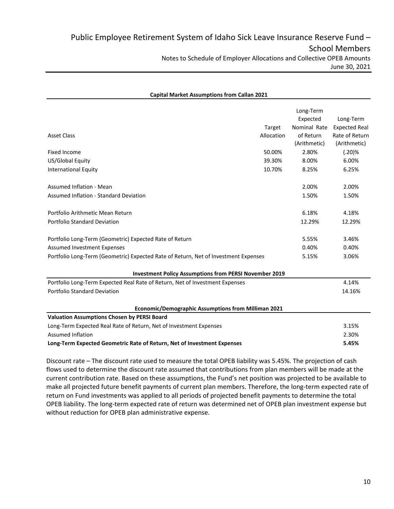| <b>Capital Market Assumptions from Callan 2021</b>                                  |            |                       |                      |
|-------------------------------------------------------------------------------------|------------|-----------------------|----------------------|
|                                                                                     |            | Long-Term<br>Expected | Long-Term            |
|                                                                                     | Target     | Nominal Rate          | <b>Expected Real</b> |
| <b>Asset Class</b>                                                                  | Allocation | of Return             | Rate of Return       |
|                                                                                     |            | (Arithmetic)          | (Arithmetic)         |
| Fixed Income                                                                        | 50.00%     | 2.80%                 | (.20)%               |
| US/Global Equity                                                                    | 39.30%     | 8.00%                 | 6.00%                |
| <b>International Equity</b>                                                         | 10.70%     | 8.25%                 | 6.25%                |
| Assumed Inflation - Mean                                                            |            | 2.00%                 | 2.00%                |
| Assumed Inflation - Standard Deviation                                              |            | 1.50%                 | 1.50%                |
| Portfolio Arithmetic Mean Return                                                    |            | 6.18%                 | 4.18%                |
| <b>Portfolio Standard Deviation</b>                                                 |            | 12.29%                | 12.29%               |
| Portfolio Long-Term (Geometric) Expected Rate of Return                             |            | 5.55%                 | 3.46%                |
| <b>Assumed Investment Expenses</b>                                                  |            | 0.40%                 | 0.40%                |
| Portfolio Long-Term (Geometric) Expected Rate of Return, Net of Investment Expenses |            | 5.15%                 | 3.06%                |
| <b>Investment Policy Assumptions from PERSI November 2019</b>                       |            |                       |                      |
| Portfolio Long-Term Expected Real Rate of Return, Net of Investment Expenses        |            |                       | 4.14%                |
| Portfolio Standard Deviation                                                        |            |                       | 14.16%               |
| Economic/Demographic Assumptions from Milliman 2021                                 |            |                       |                      |
| <b>Valuation Assumptions Chosen by PERSI Board</b>                                  |            |                       |                      |
| Long-Term Expected Real Rate of Return, Net of Investment Expenses                  |            |                       | 3.15%                |
| <b>Assumed Inflation</b>                                                            |            |                       | 2.30%                |
| Long-Term Expected Geometric Rate of Return, Net of Investment Expenses             |            |                       | 5.45%                |

Discount rate – The discount rate used to measure the total OPEB liability was 5.45%. The projection of cash flows used to determine the discount rate assumed that contributions from plan members will be made at the current contribution rate. Based on these assumptions, the Fund's net position was projected to be available to make all projected future benefit payments of current plan members. Therefore, the long-term expected rate of return on Fund investments was applied to all periods of projected benefit payments to determine the total OPEB liability. The long‐term expected rate of return was determined net of OPEB plan investment expense but without reduction for OPEB plan administrative expense.

### 10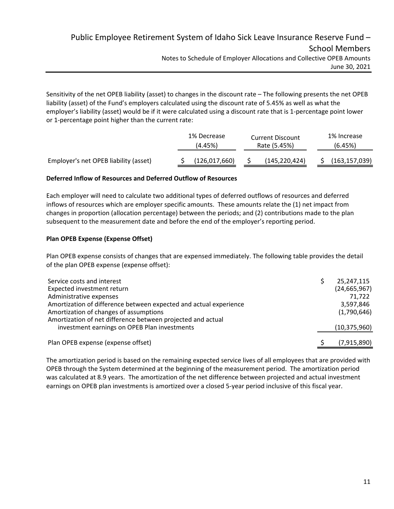# Public Employee Retirement System of Idaho Sick Leave Insurance Reserve Fund – School Members Notes to Schedule of Employer Allocations and Collective OPEB Amounts June 30, 2021

Sensitivity of the net OPEB liability (asset) to changes in the discount rate – The following presents the net OPEB liability (asset) of the Fund's employers calculated using the discount rate of 5.45% as well as what the employer's liability (asset) would be if it were calculated using a discount rate that is 1‐percentage point lower or 1‐percentage point higher than the current rate:

|                                       | 1% Decrease<br>(4.45%) | <b>Current Discount</b><br>Rate (5.45%) |                 | 1% Increase<br>(6.45%) |
|---------------------------------------|------------------------|-----------------------------------------|-----------------|------------------------|
| Employer's net OPEB liability (asset) | (126, 017, 660)        |                                         | (145, 220, 424) | (163, 157, 039)        |

## **Deferred Inflow of Resources and Deferred Outflow of Resources**

Each employer will need to calculate two additional types of deferred outflows of resources and deferred inflows of resources which are employer specific amounts. These amounts relate the (1) net impact from changes in proportion (allocation percentage) between the periods; and (2) contributions made to the plan subsequent to the measurement date and before the end of the employer's reporting period.

## **Plan OPEB Expense (Expense Offset)**

Plan OPEB expense consists of changes that are expensed immediately. The following table provides the detail of the plan OPEB expense (expense offset):

| Service costs and interest                                        | 25,247,115     |
|-------------------------------------------------------------------|----------------|
| Expected investment return                                        | (24, 665, 967) |
| Administrative expenses                                           | 71.722         |
| Amortization of difference between expected and actual experience | 3,597,846      |
| Amortization of changes of assumptions                            | (1,790,646)    |
| Amortization of net difference between projected and actual       |                |
| investment earnings on OPEB Plan investments                      | (10, 375, 960) |
|                                                                   |                |
| Plan OPEB expense (expense offset)                                | (7, 915, 890)  |

The amortization period is based on the remaining expected service lives of all employees that are provided with OPEB through the System determined at the beginning of the measurement period. The amortization period was calculated at 8.9 years. The amortization of the net difference between projected and actual investment earnings on OPEB plan investments is amortized over a closed 5-year period inclusive of this fiscal year.